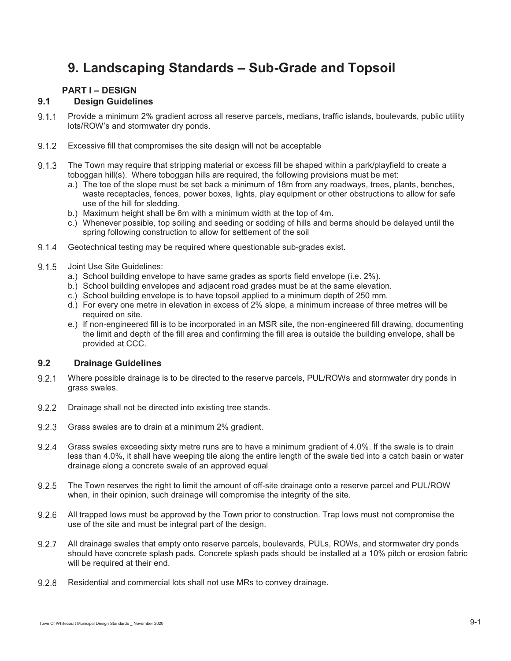# **9. Landscaping Standards – Sub-Grade and Topsoil**

# **PART I – DESIGN**

# **9.1 Design Guidelines**

- Provide a minimum 2% gradient across all reserve parcels, medians, traffic islands, boulevards, public utility lots/ROW's and stormwater dry ponds.
- 9.1.2 Excessive fill that compromises the site design will not be acceptable
- 9.1.3 The Town may require that stripping material or excess fill be shaped within a park/playfield to create a toboggan hill(s). Where toboggan hills are required, the following provisions must be met:
	- a.) The toe of the slope must be set back a minimum of 18m from any roadways, trees, plants, benches, waste receptacles, fences, power boxes, lights, play equipment or other obstructions to allow for safe use of the hill for sledding.
	- b.) Maximum height shall be 6m with a minimum width at the top of 4m.
	- c.) Whenever possible, top soiling and seeding or sodding of hills and berms should be delayed until the spring following construction to allow for settlement of the soil
- Geotechnical testing may be required where questionable sub-grades exist.
- 9.1.5 Joint Use Site Guidelines:
	- a.) School building envelope to have same grades as sports field envelope (i.e. 2%).
	- b.) School building envelopes and adjacent road grades must be at the same elevation.
	- c.) School building envelope is to have topsoil applied to a minimum depth of 250 mm.
	- d.) For every one metre in elevation in excess of 2% slope, a minimum increase of three metres will be required on site.
	- e.) If non-engineered fill is to be incorporated in an MSR site, the non-engineered fill drawing, documenting the limit and depth of the fill area and confirming the fill area is outside the building envelope, shall be provided at CCC.

## **9.2 Drainage Guidelines**

- 9.2.1 Where possible drainage is to be directed to the reserve parcels, PUL/ROWs and stormwater dry ponds in grass swales.
- 9.2.2 Drainage shall not be directed into existing tree stands.
- 9.2.3 Grass swales are to drain at a minimum 2% gradient.
- 9.2.4 Grass swales exceeding sixty metre runs are to have a minimum gradient of 4.0%. If the swale is to drain less than 4.0%, it shall have weeping tile along the entire length of the swale tied into a catch basin or water drainage along a concrete swale of an approved equal
- 9.2.5 The Town reserves the right to limit the amount of off-site drainage onto a reserve parcel and PUL/ROW when, in their opinion, such drainage will compromise the integrity of the site.
- 9.2.6 All trapped lows must be approved by the Town prior to construction. Trap lows must not compromise the use of the site and must be integral part of the design.
- 9.2.7 All drainage swales that empty onto reserve parcels, boulevards, PULs, ROWs, and stormwater dry ponds should have concrete splash pads. Concrete splash pads should be installed at a 10% pitch or erosion fabric will be required at their end.
- 9.2.8 Residential and commercial lots shall not use MRs to convey drainage.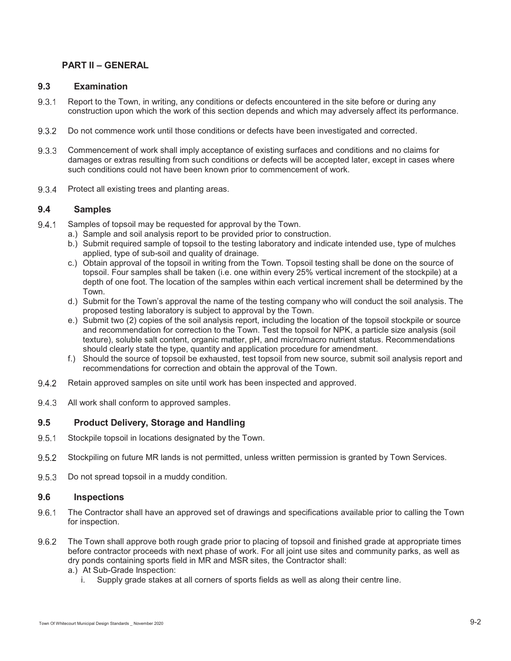# **PART II – GENERAL**

### **9.3 Examination**

- 9.3.1 Report to the Town, in writing, any conditions or defects encountered in the site before or during any construction upon which the work of this section depends and which may adversely affect its performance.
- 9.3.2 Do not commence work until those conditions or defects have been investigated and corrected.
- Commencement of work shall imply acceptance of existing surfaces and conditions and no claims for damages or extras resulting from such conditions or defects will be accepted later, except in cases where such conditions could not have been known prior to commencement of work.
- 9.3.4 Protect all existing trees and planting areas.

## **9.4 Samples**

- 9.4.1 Samples of topsoil may be requested for approval by the Town.
	- a.) Sample and soil analysis report to be provided prior to construction.
	- b.) Submit required sample of topsoil to the testing laboratory and indicate intended use, type of mulches applied, type of sub-soil and quality of drainage.
	- c.) Obtain approval of the topsoil in writing from the Town. Topsoil testing shall be done on the source of topsoil. Four samples shall be taken (i.e. one within every 25% vertical increment of the stockpile) at a depth of one foot. The location of the samples within each vertical increment shall be determined by the Town.
	- d.) Submit for the Town's approval the name of the testing company who will conduct the soil analysis. The proposed testing laboratory is subject to approval by the Town.
	- e.) Submit two (2) copies of the soil analysis report, including the location of the topsoil stockpile or source and recommendation for correction to the Town. Test the topsoil for NPK, a particle size analysis (soil texture), soluble salt content, organic matter, pH, and micro/macro nutrient status. Recommendations should clearly state the type, quantity and application procedure for amendment.
	- f.) Should the source of topsoil be exhausted, test topsoil from new source, submit soil analysis report and recommendations for correction and obtain the approval of the Town.
- 9.4.2 Retain approved samples on site until work has been inspected and approved.
- 9.4.3 All work shall conform to approved samples.

## **9.5 Product Delivery, Storage and Handling**

- 9.5.1 Stockpile topsoil in locations designated by the Town.
- Stockpiling on future MR lands is not permitted, unless written permission is granted by Town Services.
- 9.5.3 Do not spread topsoil in a muddy condition.

#### **9.6 Inspections**

- 9.6.1 The Contractor shall have an approved set of drawings and specifications available prior to calling the Town for inspection.
- 9.6.2 The Town shall approve both rough grade prior to placing of topsoil and finished grade at appropriate times before contractor proceeds with next phase of work. For all joint use sites and community parks, as well as dry ponds containing sports field in MR and MSR sites, the Contractor shall:
	- a.) At Sub-Grade Inspection:
		- i. Supply grade stakes at all corners of sports fields as well as along their centre line.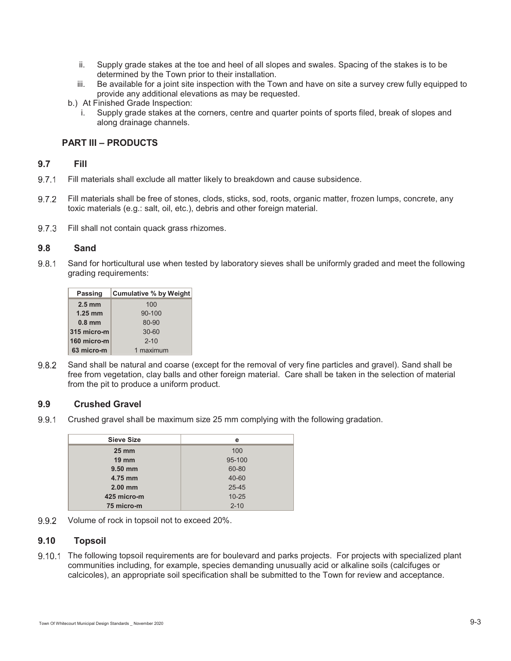- ii. Supply grade stakes at the toe and heel of all slopes and swales. Spacing of the stakes is to be determined by the Town prior to their installation.
- iii. Be available for a joint site inspection with the Town and have on site a survey crew fully equipped to provide any additional elevations as may be requested.
- b.) At Finished Grade Inspection:
	- i. Supply grade stakes at the corners, centre and quarter points of sports filed, break of slopes and along drainage channels.

## **PART III – PRODUCTS**

## **9.7 Fill**

- 9.7.1 Fill materials shall exclude all matter likely to breakdown and cause subsidence.
- 9.7.2 Fill materials shall be free of stones, clods, sticks, sod, roots, organic matter, frozen lumps, concrete, any toxic materials (e.g.: salt, oil, etc.), debris and other foreign material.
- 9.7.3 Fill shall not contain quack grass rhizomes.

## **9.8 Sand**

9.8.1 Sand for horticultural use when tested by laboratory sieves shall be uniformly graded and meet the following grading requirements:

| <b>Passing</b>   | <b>Cumulative % by Weight</b> |
|------------------|-------------------------------|
| $2.5 \text{ mm}$ | 100                           |
| $1.25$ mm        | 90-100                        |
| $0.8$ mm         | 80-90                         |
| 315 micro-m      | $30 - 60$                     |
| 160 micro-m      | $2 - 10$                      |
| 63 micro-m       | 1 maximum                     |
|                  |                               |

9.8.2 Sand shall be natural and coarse (except for the removal of very fine particles and gravel). Sand shall be free from vegetation, clay balls and other foreign material. Care shall be taken in the selection of material from the pit to produce a uniform product.

## **9.9 Crushed Gravel**

9.9.1 Crushed gravel shall be maximum size 25 mm complying with the following gradation.

| <b>Sieve Size</b> | е         |
|-------------------|-----------|
| $25 \, \text{mm}$ | 100       |
| $19 \text{ mm}$   | 95-100    |
| $9.50$ mm         | 60-80     |
| 4.75 mm           | 40-60     |
| $2.00$ mm         | $25 - 45$ |
| 425 micro-m       | $10 - 25$ |
| 75 micro-m        | $2 - 10$  |
|                   |           |

9.9.2 Volume of rock in topsoil not to exceed 20%.

### **9.10 Topsoil**

9.10.1 The following topsoil requirements are for boulevard and parks projects. For projects with specialized plant communities including, for example, species demanding unusually acid or alkaline soils (calcifuges or calcicoles), an appropriate soil specification shall be submitted to the Town for review and acceptance.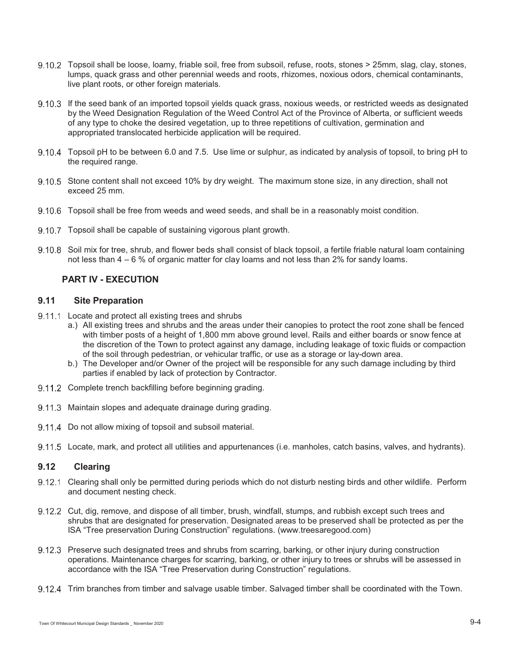- Topsoil shall be loose, loamy, friable soil, free from subsoil, refuse, roots, stones > 25mm, slag, clay, stones, lumps, quack grass and other perennial weeds and roots, rhizomes, noxious odors, chemical contaminants, live plant roots, or other foreign materials.
- If the seed bank of an imported topsoil yields quack grass, noxious weeds, or restricted weeds as designated by the Weed Designation Regulation of the Weed Control Act of the Province of Alberta, or sufficient weeds of any type to choke the desired vegetation, up to three repetitions of cultivation, germination and appropriated translocated herbicide application will be required.
- 9.10.4 Topsoil pH to be between 6.0 and 7.5. Use lime or sulphur, as indicated by analysis of topsoil, to bring pH to the required range.
- 9.10.5 Stone content shall not exceed 10% by dry weight. The maximum stone size, in any direction, shall not exceed 25 mm.
- Topsoil shall be free from weeds and weed seeds, and shall be in a reasonably moist condition.
- 9.10.7 Topsoil shall be capable of sustaining vigorous plant growth.
- 9.10.8 Soil mix for tree, shrub, and flower beds shall consist of black topsoil, a fertile friable natural loam containing not less than 4 – 6 % of organic matter for clay loams and not less than 2% for sandy loams.

## **PART IV - EXECUTION**

#### **9.11 Site Preparation**

- 9.11.1 Locate and protect all existing trees and shrubs
	- a.) All existing trees and shrubs and the areas under their canopies to protect the root zone shall be fenced with timber posts of a height of 1,800 mm above ground level. Rails and either boards or snow fence at the discretion of the Town to protect against any damage, including leakage of toxic fluids or compaction of the soil through pedestrian, or vehicular traffic, or use as a storage or lay-down area.
	- b.) The Developer and/or Owner of the project will be responsible for any such damage including by third parties if enabled by lack of protection by Contractor.
- 9.11.2 Complete trench backfilling before beginning grading.
- 9.11.3 Maintain slopes and adequate drainage during grading.
- 9.11.4 Do not allow mixing of topsoil and subsoil material.
- Locate, mark, and protect all utilities and appurtenances (i.e. manholes, catch basins, valves, and hydrants).

# **9.12 Clearing**

- 9.12.1 Clearing shall only be permitted during periods which do not disturb nesting birds and other wildlife. Perform and document nesting check.
- 9.12.2 Cut, dig, remove, and dispose of all timber, brush, windfall, stumps, and rubbish except such trees and shrubs that are designated for preservation. Designated areas to be preserved shall be protected as per the ISA "Tree preservation During Construction" regulations. (www.treesaregood.com)
- 9.12.3 Preserve such designated trees and shrubs from scarring, barking, or other injury during construction operations. Maintenance charges for scarring, barking, or other injury to trees or shrubs will be assessed in accordance with the ISA "Tree Preservation during Construction" regulations.
- 9.12.4 Trim branches from timber and salvage usable timber. Salvaged timber shall be coordinated with the Town.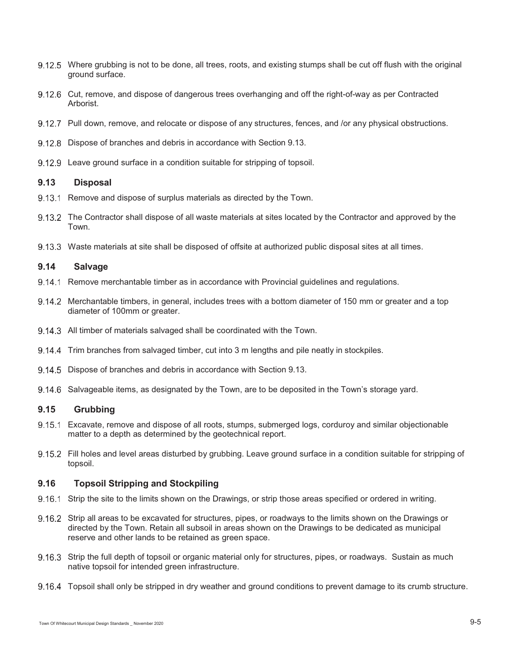- 9.12.5 Where grubbing is not to be done, all trees, roots, and existing stumps shall be cut off flush with the original ground surface.
- 9.12.6 Cut, remove, and dispose of dangerous trees overhanging and off the right-of-way as per Contracted Arborist.
- 9.12.7 Pull down, remove, and relocate or dispose of any structures, fences, and /or any physical obstructions.
- 9.12.8 Dispose of branches and debris in accordance with Section 9.13.
- 9.12.9 Leave ground surface in a condition suitable for stripping of topsoil.

#### **9.13 Disposal**

- 9.13.1 Remove and dispose of surplus materials as directed by the Town.
- 9.13.2 The Contractor shall dispose of all waste materials at sites located by the Contractor and approved by the Town.
- Waste materials at site shall be disposed of offsite at authorized public disposal sites at all times.

### **9.14 Salvage**

- 9.14.1 Remove merchantable timber as in accordance with Provincial guidelines and regulations.
- 9.14.2 Merchantable timbers, in general, includes trees with a bottom diameter of 150 mm or greater and a top diameter of 100mm or greater.
- 9.14.3 All timber of materials salvaged shall be coordinated with the Town.
- Trim branches from salvaged timber, cut into 3 m lengths and pile neatly in stockpiles.
- 9.14.5 Dispose of branches and debris in accordance with Section 9.13.
- 9.14.6 Salvageable items, as designated by the Town, are to be deposited in the Town's storage yard.

## **9.15 Grubbing**

- Excavate, remove and dispose of all roots, stumps, submerged logs, corduroy and similar objectionable matter to a depth as determined by the geotechnical report.
- 9.15.2 Fill holes and level areas disturbed by grubbing. Leave ground surface in a condition suitable for stripping of topsoil.

## **9.16 Topsoil Stripping and Stockpiling**

- 9.16.1 Strip the site to the limits shown on the Drawings, or strip those areas specified or ordered in writing.
- 9.16.2 Strip all areas to be excavated for structures, pipes, or roadways to the limits shown on the Drawings or directed by the Town. Retain all subsoil in areas shown on the Drawings to be dedicated as municipal reserve and other lands to be retained as green space.
- 9.16.3 Strip the full depth of topsoil or organic material only for structures, pipes, or roadways. Sustain as much native topsoil for intended green infrastructure.
- Topsoil shall only be stripped in dry weather and ground conditions to prevent damage to its crumb structure.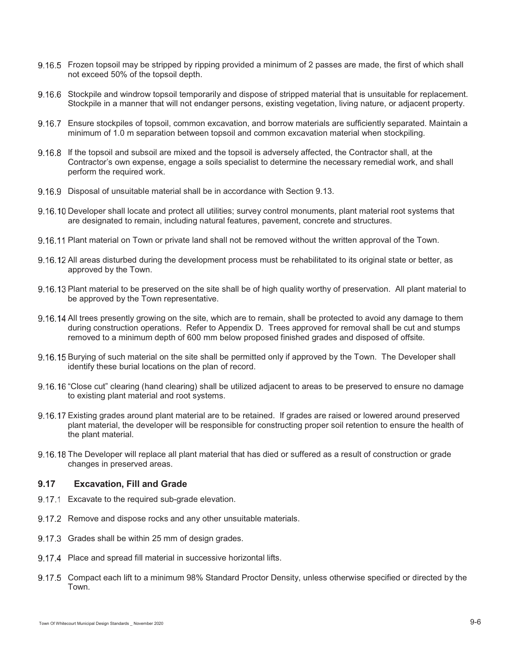- 9.16.5 Frozen topsoil may be stripped by ripping provided a minimum of 2 passes are made, the first of which shall not exceed 50% of the topsoil depth.
- 9.16.6 Stockpile and windrow topsoil temporarily and dispose of stripped material that is unsuitable for replacement. Stockpile in a manner that will not endanger persons, existing vegetation, living nature, or adjacent property.
- 9.16.7 Ensure stockpiles of topsoil, common excavation, and borrow materials are sufficiently separated. Maintain a minimum of 1.0 m separation between topsoil and common excavation material when stockpiling.
- If the topsoil and subsoil are mixed and the topsoil is adversely affected, the Contractor shall, at the Contractor's own expense, engage a soils specialist to determine the necessary remedial work, and shall perform the required work.
- 9.16.9 Disposal of unsuitable material shall be in accordance with Section 9.13.
- 9.16.10 Developer shall locate and protect all utilities; survey control monuments, plant material root systems that are designated to remain, including natural features, pavement, concrete and structures.
- Plant material on Town or private land shall not be removed without the written approval of the Town.
- 9.16.12 All areas disturbed during the development process must be rehabilitated to its original state or better, as approved by the Town.
- 9.16.13 Plant material to be preserved on the site shall be of high quality worthy of preservation. All plant material to be approved by the Town representative.
- 9.16.14 All trees presently growing on the site, which are to remain, shall be protected to avoid any damage to them during construction operations. Refer to Appendix D. Trees approved for removal shall be cut and stumps removed to a minimum depth of 600 mm below proposed finished grades and disposed of offsite.
- 9.16.15 Burying of such material on the site shall be permitted only if approved by the Town. The Developer shall identify these burial locations on the plan of record.
- 9.16.16 "Close cut" clearing (hand clearing) shall be utilized adjacent to areas to be preserved to ensure no damage to existing plant material and root systems.
- 9.16.17 Existing grades around plant material are to be retained. If grades are raised or lowered around preserved plant material, the developer will be responsible for constructing proper soil retention to ensure the health of the plant material.
- 9.16.18 The Developer will replace all plant material that has died or suffered as a result of construction or grade changes in preserved areas.

#### **9.17 Excavation, Fill and Grade**

- 9.17.1 Excavate to the required sub-grade elevation.
- 9.17.2 Remove and dispose rocks and any other unsuitable materials.
- 9.17.3 Grades shall be within 25 mm of design grades.
- 9.17.4 Place and spread fill material in successive horizontal lifts.
- 9.17.5 Compact each lift to a minimum 98% Standard Proctor Density, unless otherwise specified or directed by the Town.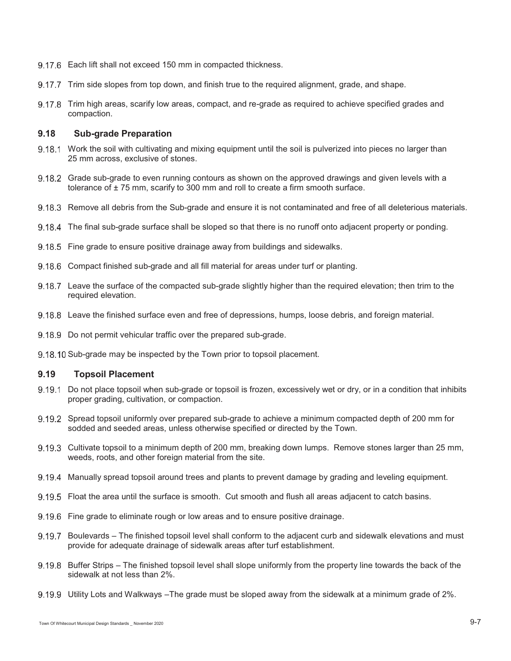- 9.17.6 Each lift shall not exceed 150 mm in compacted thickness.
- 9.17.7 Trim side slopes from top down, and finish true to the required alignment, grade, and shape.
- 9.17.8 Trim high areas, scarify low areas, compact, and re-grade as required to achieve specified grades and compaction.

## **9.18 Sub-grade Preparation**

- 9.18.1 Work the soil with cultivating and mixing equipment until the soil is pulverized into pieces no larger than 25 mm across, exclusive of stones.
- 9.18.2 Grade sub-grade to even running contours as shown on the approved drawings and given levels with a tolerance of  $\pm$  75 mm, scarify to 300 mm and roll to create a firm smooth surface.
- 9.18.3 Remove all debris from the Sub-grade and ensure it is not contaminated and free of all deleterious materials.
- 9.18.4 The final sub-grade surface shall be sloped so that there is no runoff onto adjacent property or ponding.
- 9.18.5 Fine grade to ensure positive drainage away from buildings and sidewalks.
- 9.18.6 Compact finished sub-grade and all fill material for areas under turf or planting.
- 9.18.7 Leave the surface of the compacted sub-grade slightly higher than the required elevation; then trim to the required elevation.
- Leave the finished surface even and free of depressions, humps, loose debris, and foreign material.
- 9.18.9 Do not permit vehicular traffic over the prepared sub-grade.
- 9.18.10 Sub-grade may be inspected by the Town prior to topsoil placement.

### **9.19 Topsoil Placement**

- 9.19.1 Do not place topsoil when sub-grade or topsoil is frozen, excessively wet or dry, or in a condition that inhibits proper grading, cultivation, or compaction.
- 9.19.2 Spread topsoil uniformly over prepared sub-grade to achieve a minimum compacted depth of 200 mm for sodded and seeded areas, unless otherwise specified or directed by the Town.
- 9.19.3 Cultivate topsoil to a minimum depth of 200 mm, breaking down lumps. Remove stones larger than 25 mm, weeds, roots, and other foreign material from the site.
- 9.19.4 Manually spread topsoil around trees and plants to prevent damage by grading and leveling equipment.
- Float the area until the surface is smooth. Cut smooth and flush all areas adjacent to catch basins.
- 9.19.6 Fine grade to eliminate rough or low areas and to ensure positive drainage.
- Boulevards The finished topsoil level shall conform to the adjacent curb and sidewalk elevations and must provide for adequate drainage of sidewalk areas after turf establishment.
- 9.19.8 Buffer Strips The finished topsoil level shall slope uniformly from the property line towards the back of the sidewalk at not less than 2%.
- 9.19.9 Utility Lots and Walkways –The grade must be sloped away from the sidewalk at a minimum grade of 2%.